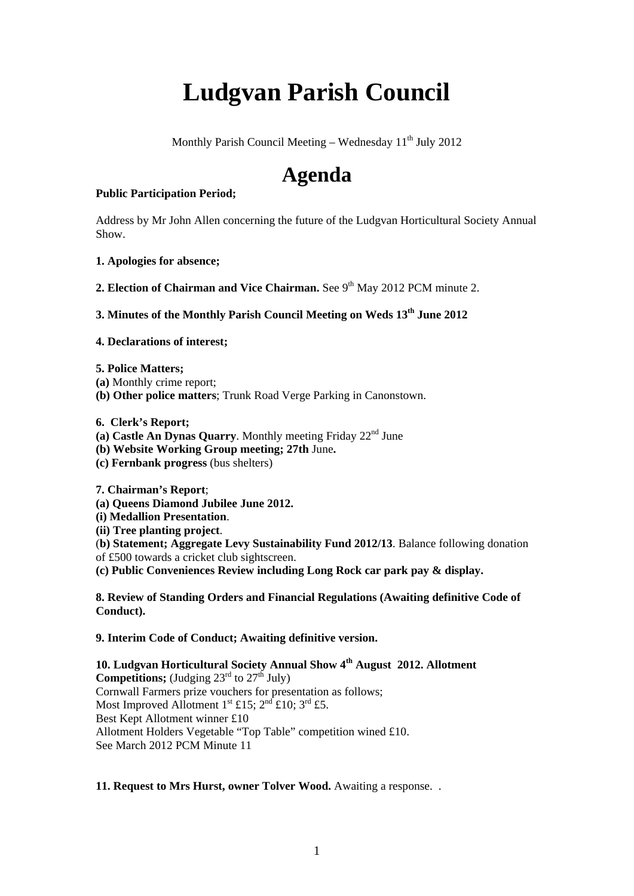# **Ludgvan Parish Council**

Monthly Parish Council Meeting – Wednesday  $11<sup>th</sup>$  July 2012

# **Agenda**

# **Public Participation Period;**

Address by Mr John Allen concerning the future of the Ludgvan Horticultural Society Annual Show.

- **1. Apologies for absence;**
- **2. Election of Chairman and Vice Chairman.** See 9<sup>th</sup> May 2012 PCM minute 2.

# **3. Minutes of the Monthly Parish Council Meeting on Weds 13th June 2012**

#### **4. Declarations of interest;**

- **5. Police Matters;**
- **(a)** Monthly crime report;
- **(b) Other police matters**; Trunk Road Verge Parking in Canonstown.
- **6. Clerk's Report;**
- (a) **Castle An Dynas Quarry**. Monthly meeting Friday  $22<sup>nd</sup>$  June
- **(b) Website Working Group meeting; 27th** June**.**
- **(c) Fernbank progress** (bus shelters)

**7. Chairman's Report**;

- **(a) Queens Diamond Jubilee June 2012.**
- **(i) Medallion Presentation**.
- **(ii) Tree planting project**.
- (**b) Statement; Aggregate Levy Sustainability Fund 2012/13**. Balance following donation
- of £500 towards a cricket club sightscreen.

**(c) Public Conveniences Review including Long Rock car park pay & display.** 

**8. Review of Standing Orders and Financial Regulations (Awaiting definitive Code of Conduct).** 

**9. Interim Code of Conduct; Awaiting definitive version.** 

**10. Ludgvan Horticultural Society Annual Show 4th August 2012. Allotment Competitions;** (Judging  $23<sup>rd</sup>$  to  $27<sup>th</sup>$  July) Cornwall Farmers prize vouchers for presentation as follows; Most Improved Allotment 1<sup>st</sup> £15;  $2<sup>nd</sup>$  £10;  $3<sup>rd</sup>$  £5. Best Kept Allotment winner £10 Allotment Holders Vegetable "Top Table" competition wined £10. See March 2012 PCM Minute 11

# **11. Request to Mrs Hurst, owner Tolver Wood.** Awaiting a response..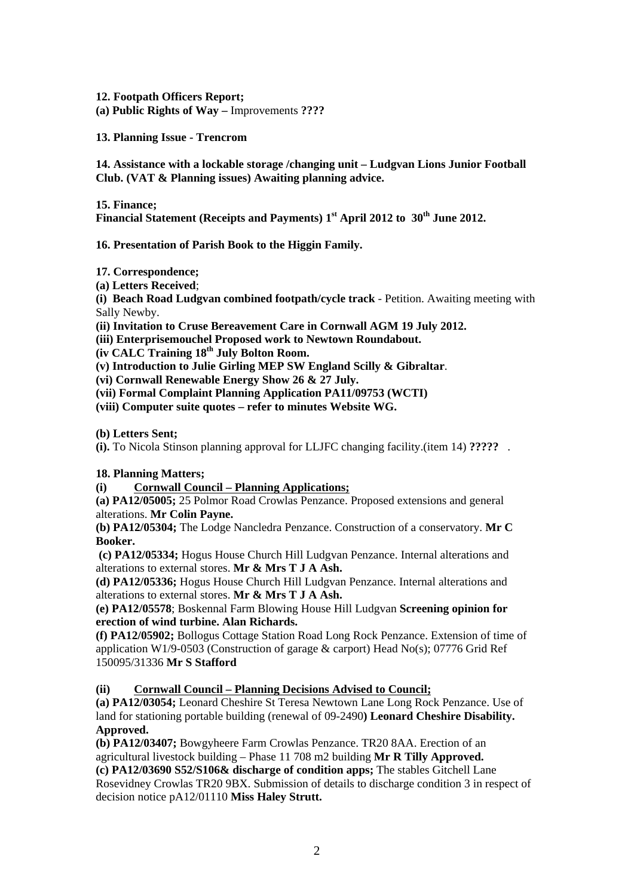**12. Footpath Officers Report; (a) Public Rights of Way –** Improvements **????** 

**13. Planning Issue - Trencrom** 

**14. Assistance with a lockable storage /changing unit – Ludgvan Lions Junior Football Club. (VAT & Planning issues) Awaiting planning advice.** 

**15. Finance;** 

Financial Statement (Receipts and Payments) 1<sup>st</sup> April 2012 to 30<sup>th</sup> June 2012.

**16. Presentation of Parish Book to the Higgin Family.** 

**17. Correspondence;**

**(a) Letters Received**;

**(i) Beach Road Ludgvan combined footpath/cycle track** - Petition. Awaiting meeting with Sally Newby.

**(ii) Invitation to Cruse Bereavement Care in Cornwall AGM 19 July 2012.**

**(iii) Enterprisemouchel Proposed work to Newtown Roundabout.** 

**(iv CALC Training 18th July Bolton Room.** 

**(v) Introduction to Julie Girling MEP SW England Scilly & Gibraltar**.

**(vi) Cornwall Renewable Energy Show 26 & 27 July.** 

**(vii) Formal Complaint Planning Application PA11/09753 (WCTI)** 

**(viii) Computer suite quotes – refer to minutes Website WG.** 

**(b) Letters Sent;** 

**(i).** To Nicola Stinson planning approval for LLJFC changing facility.(item 14) **?????** .

# **18. Planning Matters;**

**(i) Cornwall Council – Planning Applications;**

**(a) PA12/05005;** 25 Polmor Road Crowlas Penzance. Proposed extensions and general alterations. **Mr Colin Payne.** 

**(b) PA12/05304;** The Lodge Nancledra Penzance. Construction of a conservatory. **Mr C Booker.** 

 **(c) PA12/05334;** Hogus House Church Hill Ludgvan Penzance. Internal alterations and alterations to external stores. **Mr & Mrs T J A Ash.** 

**(d) PA12/05336;** Hogus House Church Hill Ludgvan Penzance. Internal alterations and alterations to external stores. **Mr & Mrs T J A Ash.** 

**(e) PA12/05578**; Boskennal Farm Blowing House Hill Ludgvan **Screening opinion for erection of wind turbine. Alan Richards.** 

**(f) PA12/05902;** Bollogus Cottage Station Road Long Rock Penzance. Extension of time of application W1/9-0503 (Construction of garage & carport) Head No(s); 07776 Grid Ref 150095/31336 **Mr S Stafford** 

**(ii) Cornwall Council – Planning Decisions Advised to Council;**

**(a) PA12/03054;** Leonard Cheshire St Teresa Newtown Lane Long Rock Penzance. Use of land for stationing portable building (renewal of 09-2490**) Leonard Cheshire Disability. Approved.** 

**(b) PA12/03407;** Bowgyheere Farm Crowlas Penzance. TR20 8AA. Erection of an agricultural livestock building – Phase 11 708 m2 building **Mr R Tilly Approved.** 

**(c) PA12/03690 S52/S106& discharge of condition apps;** The stables Gitchell Lane Rosevidney Crowlas TR20 9BX. Submission of details to discharge condition 3 in respect of decision notice pA12/01110 **Miss Haley Strutt.**